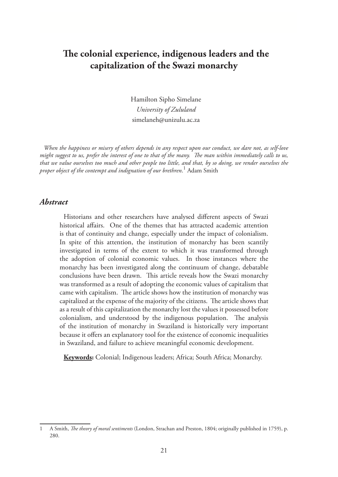# **The colonial experience, indigenous leaders and the capitalization of the Swazi monarchy**

Hamilton Sipho Simelane *University of Zululand* simelaneh@unizulu.ac.za

*When the happiness or misery of others depends in any respect upon our conduct, we dare not, as self-love might suggest to us, prefer the interest of one to that of the many. The man within immediately calls to us, that we value ourselves too much and other people too little, and that, by so doing, we render ourselves the proper object of the contempt and indignation of our brethren*. 1 Adam Smith

#### *Abstract*

Historians and other researchers have analysed different aspects of Swazi historical affairs. One of the themes that has attracted academic attention is that of continuity and change, especially under the impact of colonialism. In spite of this attention, the institution of monarchy has been scantily investigated in terms of the extent to which it was transformed through the adoption of colonial economic values. In those instances where the monarchy has been investigated along the continuum of change, debatable conclusions have been drawn. This article reveals how the Swazi monarchy was transformed as a result of adopting the economic values of capitalism that came with capitalism. The article shows how the institution of monarchy was capitalized at the expense of the majority of the citizens. The article shows that as a result of this capitalization the monarchy lost the values it possessed before colonialism, and understood by the indigenous population. The analysis of the institution of monarchy in Swaziland is historically very important because it offers an explanatory tool for the existence of economic inequalities in Swaziland, and failure to achieve meaningful economic development.

**Keywords:** Colonial; Indigenous leaders; Africa; South Africa; Monarchy.

<sup>1</sup> A Smith, *The theory of moral sentiments* (London, Strachan and Preston, 1804; originally published in 1759), p. 280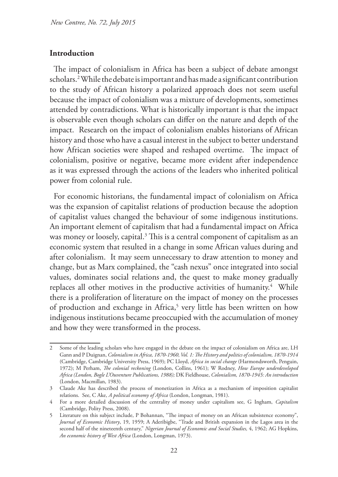## **Introduction**

The impact of colonialism in Africa has been a subject of debate amongst scholars.2 While the debate is important and has made a significant contribution to the study of African history a polarized approach does not seem useful because the impact of colonialism was a mixture of developments, sometimes attended by contradictions. What is historically important is that the impact is observable even though scholars can differ on the nature and depth of the impact. Research on the impact of colonialism enables historians of African history and those who have a casual interest in the subject to better understand how African societies were shaped and reshaped overtime. The impact of colonialism, positive or negative, became more evident after independence as it was expressed through the actions of the leaders who inherited political power from colonial rule.

For economic historians, the fundamental impact of colonialism on Africa was the expansion of capitalist relations of production because the adoption of capitalist values changed the behaviour of some indigenous institutions. An important element of capitalism that had a fundamental impact on Africa was money or loosely, capital.<sup>3</sup> This is a central component of capitalism as an economic system that resulted in a change in some African values during and after colonialism. It may seem unnecessary to draw attention to money and change, but as Marx complained, the "cash nexus" once integrated into social values, dominates social relations and, the quest to make money gradually replaces all other motives in the productive activities of humanity.<sup>4</sup> While there is a proliferation of literature on the impact of money on the processes of production and exchange in Africa,<sup>5</sup> very little has been written on how indigenous institutions became preoccupied with the accumulation of money and how they were transformed in the process.

Some of the leading scholars who have engaged in the debate on the impact of colonialism on Africa are, LH Gann and P Duignan, *Colonialism in Africa, 1870-1960, Vol. 1: The History and politics of colonialism, 1870-1914* (Cambridge, Cambridge University Press, 1969); PC Lloyd, *Africa in social change* (Harmondsworth, Penguin, 1972); M Perham, *The colonial reckoning* (London, Collins, 1961); W Rodney, *How Europe underdeveloped Africa (London, Bogle L'Ouventure Publications, 1988);* DK Fieldhouse, *Colonialism, 1870-1945: An introduction* (London, Macmillan, 1983).

<sup>3</sup> Claude Ake has described the process of monetization in Africa as a mechanism of imposition capitalist relations. See, C Ake, *A political economy of Africa* (London, Longman, 1981).

<sup>4</sup> For a more detailed discussion of the centrality of money under capitalism see, G Ingham, *Capitalism* (Cambridge, Polity Press, 2008).

<sup>5</sup> Literature on this subject include, P Bohannan, "The impact of money on an African subsistence economy", *Journal of Economic History*, 19, 1959; A Aderibigbe, "Trade and British expansion in the Lagos area in the second half of the nineteenth century," *Nigerian Journal of Economic and Social Studies,* 4, 1962; AG Hopkins, *An economic history of West Africa* (London, Longman, 1973).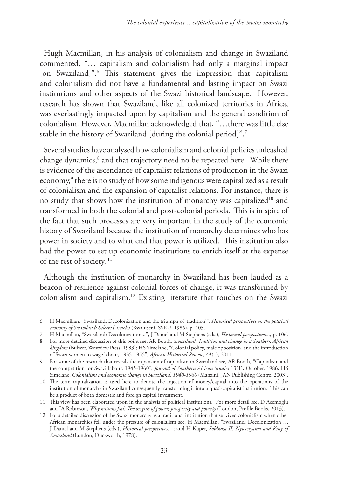Hugh Macmillan, in his analysis of colonialism and change in Swaziland commented, "… capitalism and colonialism had only a marginal impact [on Swaziland]".6 This statement gives the impression that capitalism and colonialism did not have a fundamental and lasting impact on Swazi institutions and other aspects of the Swazi historical landscape. However, research has shown that Swaziland, like all colonized territories in Africa, was everlastingly impacted upon by capitalism and the general condition of colonialism. However, Macmillan acknowledged that, "…there was little else stable in the history of Swaziland [during the colonial period]".7

Several studies have analysed how colonialism and colonial policies unleashed change dynamics, $^8$  and that trajectory need no be repeated here. While there is evidence of the ascendance of capitalist relations of production in the Swazi economy,9 there is no study of how some indigenous were capitalized as a result of colonialism and the expansion of capitalist relations. For instance, there is no study that shows how the institution of monarchy was capitalized<sup>10</sup> and transformed in both the colonial and post-colonial periods. This is in spite of the fact that such processes are very important in the study of the economic history of Swaziland because the institution of monarchy determines who has power in society and to what end that power is utilized. This institution also had the power to set up economic institutions to enrich itself at the expense of the rest of society. 11

Although the institution of monarchy in Swaziland has been lauded as a beacon of resilience against colonial forces of change, it was transformed by colonialism and capitalism.12 Existing literature that touches on the Swazi

<sup>6</sup> H Macmillan, "Swaziland: Decolonization and the triumph of 'tradition'", *Historical perspectives on the political economy of Swaziland: Selected articles* (Kwaluseni, SSRU, 1986), p. 105.

<sup>7</sup> H Macmillan, "Swaziland: Decolonization..*.*", J Daniel and M Stephens (eds.), *Historical perspectives...,* p. 106.

<sup>8</sup> For more detailed discussion of this point see, AR Booth, *Swaziland: Tradition and change in a Southern African kingdom* (Bulwer, Westview Press, 1983); HS Simelane, "Colonial policy, male opposition, and the introduction of Swazi women to wage labour, 1935-1955", *African Historical Review*, 43(1), 2011.

<sup>9</sup> For some of the research that reveals the expansion of capitalism in Swaziland see, AR Booth, "Capitalism and the competition for Swazi labour, 1945-1960", *Journal of Southern African Studies* 13(1), October, 1986; HS Simelane, *Colonialism and economic change in Swaziland, 1940-1960* (Manzini, JAN Publishing Centre, 2003).

<sup>10</sup> The term capitalization is used here to denote the injection of money/capital into the operations of the institution of monarchy in Swaziland consequently transforming it into a quasi-capitalist institution. This can be a product of both domestic and foreign capital investment.

<sup>11</sup> This view has been elaborated upon in the analysis of political institutions. For more detail see, D Acemoglu and JA Robinson, *Why nations fail: The origins of power, prosperity and poverty* (London, Profile Books, 2013).

<sup>12</sup> For a detailed discussion of the Swazi monarchy as a traditional institution that survived colonialism when other African monarchies fell under the pressure of colonialism see, H Macmillan, "Swaziland: Decolonization…, J Daniel and M Stephens (eds.), *Historical perspectives…*; and H Kuper, *Sobhuza II: Ngwenyama and King of Swaziland* (London, Duckworth, 1978).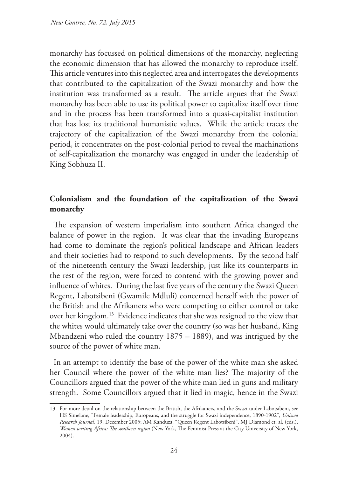monarchy has focussed on political dimensions of the monarchy, neglecting the economic dimension that has allowed the monarchy to reproduce itself. This article ventures into this neglected area and interrogates the developments that contributed to the capitalization of the Swazi monarchy and how the institution was transformed as a result. The article argues that the Swazi monarchy has been able to use its political power to capitalize itself over time and in the process has been transformed into a quasi-capitalist institution that has lost its traditional humanistic values. While the article traces the trajectory of the capitalization of the Swazi monarchy from the colonial period, it concentrates on the post-colonial period to reveal the machinations of self-capitalization the monarchy was engaged in under the leadership of King Sobhuza II.

# **Colonialism and the foundation of the capitalization of the Swazi monarchy**

The expansion of western imperialism into southern Africa changed the balance of power in the region. It was clear that the invading Europeans had come to dominate the region's political landscape and African leaders and their societies had to respond to such developments. By the second half of the nineteenth century the Swazi leadership, just like its counterparts in the rest of the region, were forced to contend with the growing power and influence of whites. During the last five years of the century the Swazi Queen Regent, Labotsibeni (Gwamile Mdluli) concerned herself with the power of the British and the Afrikaners who were competing to either control or take over her kingdom.13 Evidence indicates that she was resigned to the view that the whites would ultimately take over the country (so was her husband, King Mbandzeni who ruled the country 1875 – 1889), and was intrigued by the source of the power of white man.

In an attempt to identify the base of the power of the white man she asked her Council where the power of the white man lies? The majority of the Councillors argued that the power of the white man lied in guns and military strength. Some Councillors argued that it lied in magic, hence in the Swazi

<sup>13</sup> For more detail on the relationship between the British, the Afrikaners, and the Swazi under Labotsibeni, see HS Simelane, "Female leadership, Europeans, and the struggle for Swazi independence, 1890-1902", *Uniswa Research Journal*, 19, December 2005; AM Kanduza, "Queen Regent Labotsibeni", MJ Diamond et. al. (eds.), *Women writing Africa: The southern region* (New York, The Feminist Press at the City University of New York, 2004).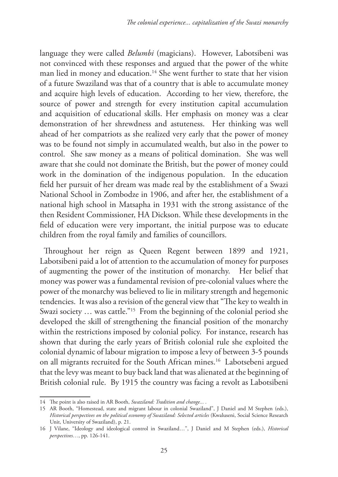language they were called *Belumbi* (magicians). However, Labotsibeni was not convinced with these responses and argued that the power of the white man lied in money and education.<sup>14</sup> She went further to state that her vision of a future Swaziland was that of a country that is able to accumulate money and acquire high levels of education. According to her view, therefore, the source of power and strength for every institution capital accumulation and acquisition of educational skills. Her emphasis on money was a clear demonstration of her shrewdness and astuteness. Her thinking was well ahead of her compatriots as she realized very early that the power of money was to be found not simply in accumulated wealth, but also in the power to control. She saw money as a means of political domination. She was well aware that she could not dominate the British, but the power of money could work in the domination of the indigenous population. In the education field her pursuit of her dream was made real by the establishment of a Swazi National School in Zombodze in 1906, and after her, the establishment of a national high school in Matsapha in 1931 with the strong assistance of the then Resident Commissioner, HA Dickson. While these developments in the field of education were very important, the initial purpose was to educate children from the royal family and families of councillors.

Throughout her reign as Queen Regent between 1899 and 1921, Labotsibeni paid a lot of attention to the accumulation of money for purposes of augmenting the power of the institution of monarchy. Her belief that money was power was a fundamental revision of pre-colonial values where the power of the monarchy was believed to lie in military strength and hegemonic tendencies. It was also a revision of the general view that "The key to wealth in Swazi society … was cattle."15 From the beginning of the colonial period she developed the skill of strengthening the financial position of the monarchy within the restrictions imposed by colonial policy. For instance, research has shown that during the early years of British colonial rule she exploited the colonial dynamic of labour migration to impose a levy of between 3-5 pounds on all migrants recruited for the South African mines.16 Labotsebeni argued that the levy was meant to buy back land that was alienated at the beginning of British colonial rule. By 1915 the country was facing a revolt as Labotsibeni

<sup>14</sup> The point is also raised in AR Booth, *Swaziland: Tradition and change... .*

<sup>15</sup> AR Booth, "Homestead, state and migrant labour in colonial Swaziland", J Daniel and M Stephen (eds.), *Historical perspectives on the political economy of Swaziland: Selected articles* (Kwaluseni, Social Science Research Unit, University of Swaziland), p. 21.

<sup>16</sup> J Vilane, "Ideology and ideological control in Swaziland…", J Daniel and M Stephen (eds.), *Historical perspectives…*, pp. 126-141.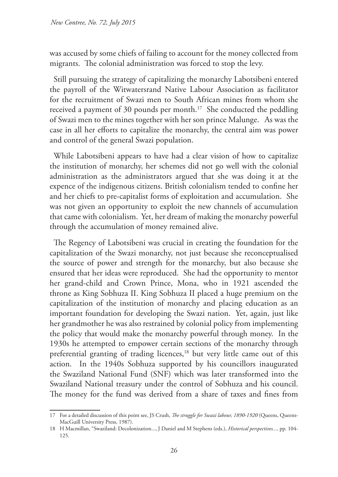was accused by some chiefs of failing to account for the money collected from migrants. The colonial administration was forced to stop the levy.

Still pursuing the strategy of capitalizing the monarchy Labotsibeni entered the payroll of the Witwatersrand Native Labour Association as facilitator for the recruitment of Swazi men to South African mines from whom she received a payment of 30 pounds per month.<sup>17</sup> She conducted the peddling of Swazi men to the mines together with her son prince Malunge. As was the case in all her efforts to capitalize the monarchy, the central aim was power and control of the general Swazi population.

While Labotsibeni appears to have had a clear vision of how to capitalize the institution of monarchy, her schemes did not go well with the colonial administration as the administrators argued that she was doing it at the expence of the indigenous citizens. British colonialism tended to confine her and her chiefs to pre-capitalist forms of exploitation and accumulation. She was not given an opportunity to exploit the new channels of accumulation that came with colonialism. Yet, her dream of making the monarchy powerful through the accumulation of money remained alive.

The Regency of Labotsibeni was crucial in creating the foundation for the capitalization of the Swazi monarchy, not just because she reconceptualised the source of power and strength for the monarchy, but also because she ensured that her ideas were reproduced. She had the opportunity to mentor her grand-child and Crown Prince, Mona, who in 1921 ascended the throne as King Sobhuza II. King Sobhuza II placed a huge premium on the capitalization of the institution of monarchy and placing education as an important foundation for developing the Swazi nation. Yet, again, just like her grandmother he was also restrained by colonial policy from implementing the policy that would make the monarchy powerful through money. In the 1930s he attempted to empower certain sections of the monarchy through preferential granting of trading licences,<sup>18</sup> but very little came out of this action. In the 1940s Sobhuza supported by his councillors inaugurated the Swaziland National Fund (SNF) which was later transformed into the Swaziland National treasury under the control of Sobhuza and his council. The money for the fund was derived from a share of taxes and fines from

<sup>17</sup> For a detailed discussion of this point see, JS Crush, *The struggle for Swazi labour, 1890-1920* (Queens, Queens-MacGuill University Press, 1987).

<sup>18</sup> H Macmillan, "Swaziland: Decolonization..., J Daniel and M Stephens (eds.), *Historical perspectives...,* pp. 104- 125.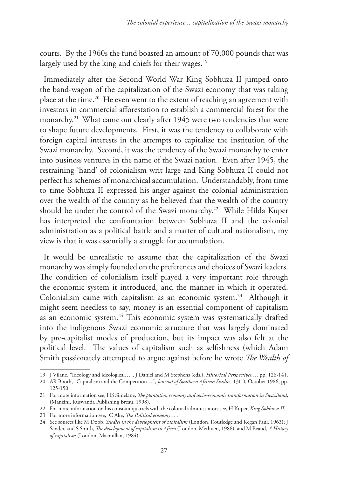courts. By the 1960s the fund boasted an amount of 70,000 pounds that was largely used by the king and chiefs for their wages.<sup>19</sup>

Immediately after the Second World War King Sobhuza II jumped onto the band-wagon of the capitalization of the Swazi economy that was taking place at the time.20 He even went to the extent of reaching an agreement with investors in commercial afforestation to establish a commercial forest for the monarchy.<sup>21</sup> What came out clearly after 1945 were two tendencies that were to shape future developments. First, it was the tendency to collaborate with foreign capital interests in the attempts to capitalize the institution of the Swazi monarchy. Second, it was the tendency of the Swazi monarchy to enter into business ventures in the name of the Swazi nation. Even after 1945, the restraining 'hand' of colonialism writ large and King Sobhuza II could not perfect his schemes of monarchical accumulation. Understandably, from time to time Sobhuza II expressed his anger against the colonial administration over the wealth of the country as he believed that the wealth of the country should be under the control of the Swazi monarchy.<sup>22</sup> While Hilda Kuper has interpreted the confrontation between Sobhuza II and the colonial administration as a political battle and a matter of cultural nationalism, my view is that it was essentially a struggle for accumulation.

It would be unrealistic to assume that the capitalization of the Swazi monarchy was simply founded on the preferences and choices of Swazi leaders. The condition of colonialism itself played a very important role through the economic system it introduced, and the manner in which it operated. Colonialism came with capitalism as an economic system.<sup>23</sup> Although it might seem needless to say, money is an essential component of capitalism as an economic system.24 This economic system was systematically drafted into the indigenous Swazi economic structure that was largely dominated by pre-capitalist modes of production, but its impact was also felt at the political level. The values of capitalism such as selfishness (which Adam Smith passionately attempted to argue against before he wrote *The Wealth of* 

<sup>19</sup> J Vilane, "Ideology and ideological…", J Daniel and M Stephens (eds.), *Historical Perspectives…*, pp. 126-141.

<sup>20</sup> AR Booth, "Capitalism and the Competition…", *Journal of Southern African Studies,* 13(1), October 1986, pp. 125-150.

<sup>21</sup> For more information see, HS Simelane, *The plantation economy and socio-economic transformation in Swaziland*, (Manzini, Ruswanda Publishing Breau, 1998).

<sup>22</sup> For more information on his constant quarrels with the colonial administrators see, H Kuper, *King Sobhuza II...* 

<sup>23</sup> For more information see, C Ake, *The Political economy… .*

<sup>24</sup> See sources like M Dobb, *Studies in the development of capitalism* (London, Routledge and Kegan Paul, 1963); J Sender, and S Smith, *The development of capitalism in Africa* (London, Methuen, 1986); and M Beaud, *A History of capitalism* (London, Macmillan, 1984).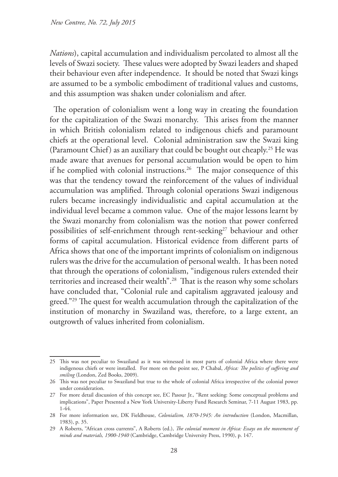*Nations*), capital accumulation and individualism percolated to almost all the levels of Swazi society. These values were adopted by Swazi leaders and shaped their behaviour even after independence. It should be noted that Swazi kings are assumed to be a symbolic embodiment of traditional values and customs, and this assumption was shaken under colonialism and after.

The operation of colonialism went a long way in creating the foundation for the capitalization of the Swazi monarchy. This arises from the manner in which British colonialism related to indigenous chiefs and paramount chiefs at the operational level. Colonial administration saw the Swazi king (Paramount Chief) as an auxiliary that could be bought out cheaply.25 He was made aware that avenues for personal accumulation would be open to him if he complied with colonial instructions.<sup>26</sup> The major consequence of this was that the tendency toward the reinforcement of the values of individual accumulation was amplified. Through colonial operations Swazi indigenous rulers became increasingly individualistic and capital accumulation at the individual level became a common value. One of the major lessons learnt by the Swazi monarchy from colonialism was the notion that power conferred possibilities of self-enrichment through rent-seeking<sup>27</sup> behaviour and other forms of capital accumulation. Historical evidence from different parts of Africa shows that one of the important imprints of colonialism on indigenous rulers was the drive for the accumulation of personal wealth. It has been noted that through the operations of colonialism, "indigenous rulers extended their territories and increased their wealth".28 That is the reason why some scholars have concluded that, "Colonial rule and capitalism aggravated jealousy and greed."<sup>29</sup> The quest for wealth accumulation through the capitalization of the institution of monarchy in Swaziland was, therefore, to a large extent, an outgrowth of values inherited from colonialism.

<sup>25</sup> This was not peculiar to Swaziland as it was witnessed in most parts of colonial Africa where there were indigenous chiefs or were installed. For more on the point see, P Chabal, *Africa: The politics of suffering and smiling* (London, Zed Books, 2009).

<sup>26</sup> This was not peculiar to Swaziland but true to the whole of colonial Africa irrespective of the colonial power under consideration.

<sup>27</sup> For more detail discussion of this concept see, EC Pasour Jr., "Rent seeking: Some conceptual problems and implications", Paper Presented a New York University-Liberty Fund Research Seminar, 7-11 August 1983, pp. 1-44.

<sup>28</sup> For more information see, DK Fieldhouse, *Colonialism, 1870-1945: An introduction* (London, Macmillan, 1983), p. 35.

<sup>29</sup> A Roberts, "African cross currents", A Roberts (ed.), *The colonial moment in Africa: Essays on the movement of minds and materials, 1900-1940* (Cambridge, Cambridge University Press, 1990), p. 147.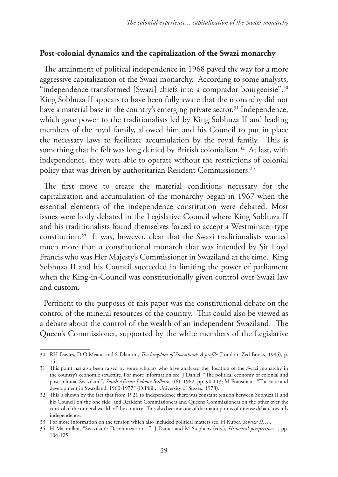# **Post-colonial dynamics and the capitalization of the Swazi monarchy**

The attainment of political independence in 1968 paved the way for a more aggressive capitalization of the Swazi monarchy. According to some analysts, "independence transformed [Swazi] chiefs into a comprador bourgeoisie".<sup>30</sup> King Sobhuza II appears to have been fully aware that the monarchy did not have a material base in the country's emerging private sector.<sup>31</sup> Independence, which gave power to the traditionalists led by King Sobhuza II and leading members of the royal family, allowed him and his Council to put in place the necessary laws to facilitate accumulation by the royal family. This is something that he felt was long denied by British colonialism.<sup>32</sup> At last, with independence, they were able to operate without the restrictions of colonial policy that was driven by authoritarian Resident Commissioners.<sup>33</sup>

The first move to create the material conditions necessary for the capitalization and accumulation of the monarchy began in 1967 when the essential elements of the independence constitution were debated. Most issues were hotly debated in the Legislative Council where King Sobhuza II and his traditionalists found themselves forced to accept a Westminster-type constitution.34 It was, however, clear that the Swazi traditionalists wanted much more than a constitutional monarch that was intended by Sir Loyd Francis who was Her Majesty's Commissioner in Swaziland at the time. King Sobhuza II and his Council succeeded in limiting the power of parliament when the King-in-Council was constitutionally given control over Swazi law and custom.

Pertinent to the purposes of this paper was the constitutional debate on the control of the mineral resources of the country. This could also be viewed as a debate about the control of the wealth of an independent Swaziland. The Queen's Commissioner, supported by the white members of the Legislative

<sup>30</sup> RH Davies, D O'Meara, and S Dlamini, *The kingdom of Swaziland: A profile* (London, Zed Books, 1985), p. 15.

<sup>31</sup> This point has also been raised by some scholars who have analyzed the location of the Swazi monarchy in the country's economic structure. For more information see, J Daniel, "The political economy of colonial and post-colonial Swaziland", *South African Labour Bulletin* 7(6), 1982, pp. 90-113; M Fransman, "The state and development in Swaziland, 1960-1977" (D.Phil., University of Sussex, 1978).

<sup>32</sup> This is shown by the fact that from 1921 to independence there was constant tension between Sobhuza II and his Council on the one side, and Resident Commissioners and Queens Commissioners on the other over the control of the mineral wealth of the country. This also became one of the major points of intense debate towards independence.

<sup>33</sup> For more information on the tension which also included political matters see, H Kuper, *Sobuza II… .*

<sup>34</sup> H Macmillan, "Swaziland: Decolonization…", J Daniel and M Stephens (eds.), *Historical perspectives*..., pp. 104-125.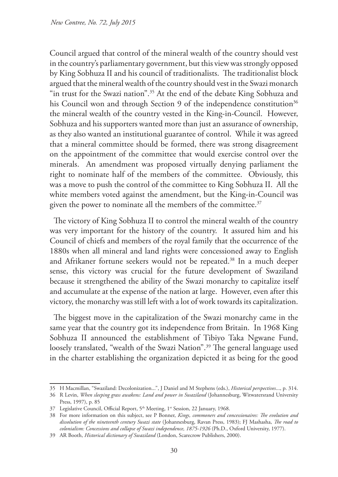Council argued that control of the mineral wealth of the country should vest in the country's parliamentary government, but this view was strongly opposed by King Sobhuza II and his council of traditionalists. The traditionalist block argued that the mineral wealth of the country should vest in the Swazi monarch "in trust for the Swazi nation".<sup>35</sup> At the end of the debate King Sobhuza and his Council won and through Section 9 of the independence constitution<sup>36</sup> the mineral wealth of the country vested in the King-in-Council. However, Sobhuza and his supporters wanted more than just an assurance of ownership, as they also wanted an institutional guarantee of control. While it was agreed that a mineral committee should be formed, there was strong disagreement on the appointment of the committee that would exercise control over the minerals. An amendment was proposed virtually denying parliament the right to nominate half of the members of the committee. Obviously, this was a move to push the control of the committee to King Sobhuza II. All the white members voted against the amendment, but the King-in-Council was given the power to nominate all the members of the committee.<sup>37</sup>

The victory of King Sobhuza II to control the mineral wealth of the country was very important for the history of the country. It assured him and his Council of chiefs and members of the royal family that the occurrence of the 1880s when all mineral and land rights were concessioned away to English and Afrikaner fortune seekers would not be repeated.38 In a much deeper sense, this victory was crucial for the future development of Swaziland because it strengthened the ability of the Swazi monarchy to capitalize itself and accumulate at the expense of the nation at large. However, even after this victory, the monarchy was still left with a lot of work towards its capitalization.

The biggest move in the capitalization of the Swazi monarchy came in the same year that the country got its independence from Britain. In 1968 King Sobhuza II announced the establishment of Tibiyo Taka Ngwane Fund, loosely translated, "wealth of the Swazi Nation".<sup>39</sup> The general language used in the charter establishing the organization depicted it as being for the good

<sup>35</sup> H Macmillan, "Swaziland: Decolonization...", J Daniel and M Stephens (eds.), *Historical perspectives*..., p. 314.

<sup>36</sup> R Levin, *When sleeping grass awakens: Land and power in Swaziland* (Johannesburg, Witwatersrand University Press, 1997), p. 85

<sup>37</sup> Legislative Council, Official Report, 5<sup>th</sup> Meeting, 1<sup>st</sup> Session, 22 January, 1968.

<sup>38</sup> For more information on this subject, see P Bonner, *Kings, commoners and concessionaires: The evolution and dissolution of the nineteenth century Swazi state* (Johannesburg, Ravan Press, 1983); FJ Mashasha, *The road to colonialism: Concessions and collapse of Swazi independence, 1875-1926* (Ph.D., Oxford University, 1977).

<sup>39</sup> AR Booth, *Historical dictionary of Swaziland* (London, Scarecrow Publishers, 2000).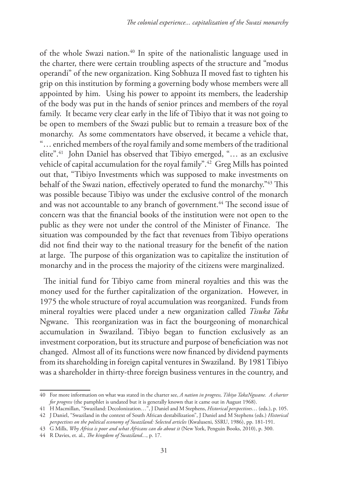of the whole Swazi nation.40 In spite of the nationalistic language used in the charter, there were certain troubling aspects of the structure and "modus operandi" of the new organization. King Sobhuza II moved fast to tighten his grip on this institution by forming a governing body whose members were all appointed by him. Using his power to appoint its members, the leadership of the body was put in the hands of senior princes and members of the royal family. It became very clear early in the life of Tibiyo that it was not going to be open to members of the Swazi public but to remain a treasure box of the monarchy. As some commentators have observed, it became a vehicle that, "… enriched members of the royal family and some members of the traditional elite".41 John Daniel has observed that Tibiyo emerged, "… as an exclusive vehicle of capital accumulation for the royal family".42 Greg Mills has pointed out that, "Tibiyo Investments which was supposed to make investments on behalf of the Swazi nation, effectively operated to fund the monarchy."43 This was possible because Tibiyo was under the exclusive control of the monarch and was not accountable to any branch of government.<sup>44</sup> The second issue of concern was that the financial books of the institution were not open to the public as they were not under the control of the Minister of Finance. The situation was compounded by the fact that revenues from Tibiyo operations did not find their way to the national treasury for the benefit of the nation at large. The purpose of this organization was to capitalize the institution of monarchy and in the process the majority of the citizens were marginalized.

The initial fund for Tibiyo came from mineral royalties and this was the money used for the further capitalization of the organization. However, in 1975 the whole structure of royal accumulation was reorganized. Funds from mineral royalties were placed under a new organization called *Tisuka Taka*  Ngwane. This reorganization was in fact the bourgeoning of monarchical accumulation in Swaziland. Tibiyo began to function exclusively as an investment corporation, but its structure and purpose of beneficiation was not changed. Almost all of its functions were now financed by dividend payments from its shareholding in foreign capital ventures in Swaziland. By 1981 Tibiyo was a shareholder in thirty-three foreign business ventures in the country, and

<sup>40</sup> For more information on what was stated in the charter see, *A nation in progress, Tibiyo TakaNgwane. A charter for progress* (the pamphlet is undated but it is generally known that it came out in August 1968).

<sup>41</sup> H Macmillan, "Swaziland: Decolonization…", J Daniel and M Stephens, *Historical perspectives*… (eds.), p. 105.

<sup>42</sup> J Daniel, "Swaziland in the context of South African destabilization", J Daniel and M Stephens (eds.) *Historical perspectives on the political economy of Swaziland: Selected articles* (Kwaluseni, SSRU, 1986), pp. 181-191.

<sup>43</sup> G Mills, *Why Africa is poor and what Africans can do about it* (New York, Penguin Books, 2010), p. 300.

<sup>44</sup> R Davies, et. al., *The kingdom of Swaziland...*, p. 17.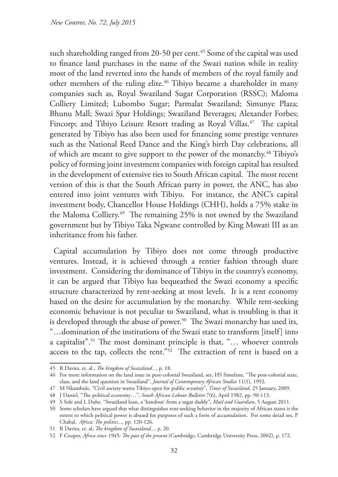such shareholding ranged from 20-50 per cent.<sup>45</sup> Some of the capital was used to finance land purchases in the name of the Swazi nation while in reality most of the land reverted into the hands of members of the royal family and other members of the ruling elite.<sup>46</sup> Tibiyo became a shareholder in many companies such as, Royal Swaziland Sugar Corporation (RSSC); Maloma Colliery Limited; Lubombo Sugar; Parmalat Swaziland; Simunye Plaza; Bhunu Mall; Swazi Spar Holdings; Swaziland Beverages; Alexander Forbes; Fincorp; and Tibiyo Leisure Resort trading as Royal Villas.<sup>47</sup> The capital generated by Tibiyo has also been used for financing some prestige ventures such as the National Reed Dance and the King's birth Day celebrations, all of which are meant to give support to the power of the monarchy.48 Tibiyo's policy of forming joint investment companies with foreign capital has resulted in the development of extensive ties to South African capital. The most recent version of this is that the South African party in power, the ANC, has also entered into joint ventures with Tibiyo. For instance, the ANC's capital investment body, Chancellor House Holdings (CHH), holds a 75% stake in the Maloma Colliery.49 The remaining 25% is not owned by the Swaziland government but by Tibiyo Taka Ngwane controlled by King Mswati III as an inheritance from his father.

Capital accumulation by Tibiyo does not come through productive ventures. Instead, it is achieved through a rentier fashion through share investment. Considering the dominance of Tibiyo in the country's economy, it can be argued that Tibiyo has bequeathed the Swazi economy a specific structure characterized by rent-seeking at most levels. It is a rent economy based on the desire for accumulation by the monarchy. While rent-seeking economic behaviour is not peculiar to Swaziland, what is troubling is that it is developed through the abuse of power.<sup>50</sup> The Swazi monarchy has used its, "…domination of the institutions of the Swazi state to transform [itself] into a capitalist".51 The most dominant principle is that, "… whoever controls access to the tap, collects the rent."52 The extraction of rent is based on a

<sup>45</sup> R Davies, et. al., *The kingdom of Swaziland...*, p. 18.

<sup>46</sup> For more information on the land issue in post-colonial Swaziland, see, HS Simelane, "The post-colonial state, class, and the land question in Swaziland", *Journal of Contemporary African Studies* 11(1), 1992.

<sup>47</sup> M Nkambule, "Civil society wants Tibiyo open for public scrutiny", *Times of Swaziland*, 25 January, 2009.

<sup>48</sup> J Daniel, "The political economy…", *South African Labour Bulletin* 7(6), April 1982, pp. 90-113.

<sup>49</sup> S Sole and L Dube, "Swaziland loan, a 'handout' from a sugar daddy", *Mail and Guardian*, 5 August 2011.

<sup>50</sup> Some scholars have argued that what distinguishes rent-seeking behavior in the majority of African states is the extent to which political power is abused for purposes of such a form of accumulation. For some detail see, P Chabal, *Africa: The politics...,* pp. 120-126.

<sup>51</sup> R Davies, et. al, *The kingdom of Swaziland...*, p. 20.

<sup>52</sup> F Cooper, *Africa since 1945: The past of the present* (Cambridge, Cambridge University Press, 2002), p. 172.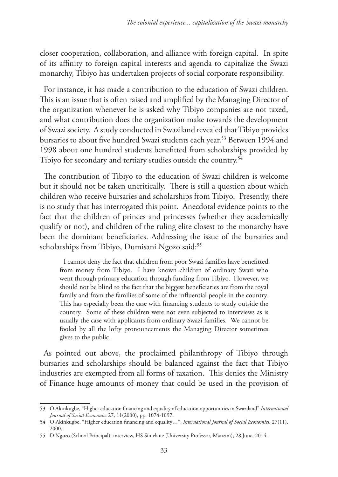closer cooperation, collaboration, and alliance with foreign capital. In spite of its affinity to foreign capital interests and agenda to capitalize the Swazi monarchy, Tibiyo has undertaken projects of social corporate responsibility.

For instance, it has made a contribution to the education of Swazi children. This is an issue that is often raised and amplified by the Managing Director of the organization whenever he is asked why Tibiyo companies are not taxed, and what contribution does the organization make towards the development of Swazi society. A study conducted in Swaziland revealed that Tibiyo provides bursaries to about five hundred Swazi students each year.<sup>53</sup> Between 1994 and 1998 about one hundred students benefitted from scholarships provided by Tibiyo for secondary and tertiary studies outside the country.<sup>54</sup>

The contribution of Tibiyo to the education of Swazi children is welcome but it should not be taken uncritically. There is still a question about which children who receive bursaries and scholarships from Tibiyo. Presently, there is no study that has interrogated this point. Anecdotal evidence points to the fact that the children of princes and princesses (whether they academically qualify or not), and children of the ruling elite closest to the monarchy have been the dominant beneficiaries. Addressing the issue of the bursaries and scholarships from Tibiyo, Dumisani Ngozo said:<sup>55</sup>

I cannot deny the fact that children from poor Swazi families have benefitted from money from Tibiyo. I have known children of ordinary Swazi who went through primary education through funding from Tibiyo. However, we should not be blind to the fact that the biggest beneficiaries are from the royal family and from the families of some of the influential people in the country. This has especially been the case with financing students to study outside the country. Some of these children were not even subjected to interviews as is usually the case with applicants from ordinary Swazi families. We cannot be fooled by all the lofty pronouncements the Managing Director sometimes gives to the public.

As pointed out above, the proclaimed philanthropy of Tibiyo through bursaries and scholarships should be balanced against the fact that Tibiyo industries are exempted from all forms of taxation. This denies the Ministry of Finance huge amounts of money that could be used in the provision of

<sup>53</sup> O Akinkugbe, "Higher education financing and equality of education opportunities in Swaziland" *International Journal of Social Economics* 27, 11(2000), pp. 1074-1097.

<sup>54</sup> O Akinkugbe, "Higher education financing and equality…", *International Journal of Social Economics,* 27(11), 2000.

<sup>55</sup> D Ngozo (School Principal), interview, HS Simelane (University Professor, Manzini), 28 June, 2014.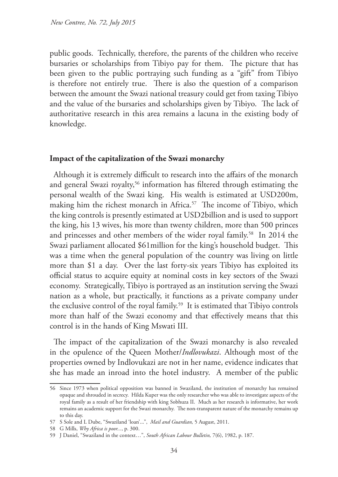public goods. Technically, therefore, the parents of the children who receive bursaries or scholarships from Tibiyo pay for them. The picture that has been given to the public portraying such funding as a "gift" from Tibiyo is therefore not entirely true. There is also the question of a comparison between the amount the Swazi national treasury could get from taxing Tibiyo and the value of the bursaries and scholarships given by Tibiyo. The lack of authoritative research in this area remains a lacuna in the existing body of knowledge.

### **Impact of the capitalization of the Swazi monarchy**

Although it is extremely difficult to research into the affairs of the monarch and general Swazi royalty,<sup>56</sup> information has filtered through estimating the personal wealth of the Swazi king. His wealth is estimated at USD200m, making him the richest monarch in Africa.<sup>57</sup> The income of Tibiyo, which the king controls is presently estimated at USD2billion and is used to support the king, his 13 wives, his more than twenty children, more than 500 princes and princesses and other members of the wider royal family.<sup>58</sup> In 2014 the Swazi parliament allocated \$61million for the king's household budget. This was a time when the general population of the country was living on little more than \$1 a day. Over the last forty-six years Tibiyo has exploited its official status to acquire equity at nominal costs in key sectors of the Swazi economy. Strategically, Tibiyo is portrayed as an institution serving the Swazi nation as a whole, but practically, it functions as a private company under the exclusive control of the royal family.59 It is estimated that Tibiyo controls more than half of the Swazi economy and that effectively means that this control is in the hands of King Mswati III.

The impact of the capitalization of the Swazi monarchy is also revealed in the opulence of the Queen Mother/*Indlovukazi*. Although most of the properties owned by Indlovukazi are not in her name, evidence indicates that she has made an inroad into the hotel industry. A member of the public

<sup>56</sup> Since 1973 when political opposition was banned in Swaziland, the institution of monarchy has remained opaque and shrouded in secrecy. Hilda Kuper was the only researcher who was able to investigate aspects of the royal family as a result of her friendship with king Sobhuza II. Much as her research is informative, her work remains an academic support for the Swazi monarchy. The non-transparent nature of the monarchy remains up to this day.

<sup>57</sup> S Sole and L Dube, "Swaziland 'loan'...", *Mail and Guardian,* 5 August, 2011.

<sup>58</sup> G Mills, *Why Africa is poor...*, p. 300.

<sup>59</sup> J Daniel, "Swaziland in the context…", *South African Labour Bulletin,* 7(6), 1982, p. 187.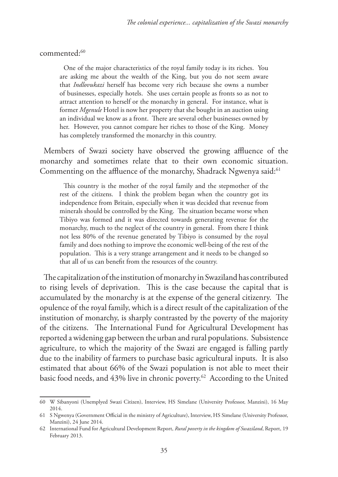commented:60

One of the major characteristics of the royal family today is its riches. You are asking me about the wealth of the King, but you do not seem aware that *Indlovukazi* herself has become very rich because she owns a number of businesses, especially hotels. She uses certain people as fronts so as not to attract attention to herself or the monarchy in general. For instance, what is former *Mgenule* Hotel is now her property that she bought in an auction using an individual we know as a front. There are several other businesses owned by her. However, you cannot compare her riches to those of the King. Money has completely transformed the monarchy in this country.

Members of Swazi society have observed the growing affluence of the monarchy and sometimes relate that to their own economic situation. Commenting on the affluence of the monarchy, Shadrack Ngwenya said:<sup>61</sup>

This country is the mother of the royal family and the stepmother of the rest of the citizens. I think the problem began when the country got its independence from Britain, especially when it was decided that revenue from minerals should be controlled by the King. The situation became worse when Tibiyo was formed and it was directed towards generating revenue for the monarchy, much to the neglect of the country in general. From there I think not less 80% of the revenue generated by Tibiyo is consumed by the royal family and does nothing to improve the economic well-being of the rest of the population. This is a very strange arrangement and it needs to be changed so that all of us can benefit from the resources of the country.

The capitalization of the institution of monarchy in Swaziland has contributed to rising levels of deprivation. This is the case because the capital that is accumulated by the monarchy is at the expense of the general citizenry. The opulence of the royal family, which is a direct result of the capitalization of the institution of monarchy, is sharply contrasted by the poverty of the majority of the citizens. The International Fund for Agricultural Development has reported a widening gap between the urban and rural populations. Subsistence agriculture, to which the majority of the Swazi are engaged is falling partly due to the inability of farmers to purchase basic agricultural inputs. It is also estimated that about 66% of the Swazi population is not able to meet their basic food needs, and 43% live in chronic poverty.<sup>62</sup> According to the United

<sup>60</sup> W Sibanyoni (Unemplyed Swazi Citizen), Interview, HS Simelane (University Professor, Manzini), 16 May 2014.

<sup>61</sup> S Ngwenya (Government Official in the ministry of Agriculture), Interview, HS Simelane (University Professor, Manzini), 24 June 2014.

<sup>62</sup> International Fund for Agricultural Development Report, *Rural poverty in the kingdom of Swaziland*, Report, 19 February 2013.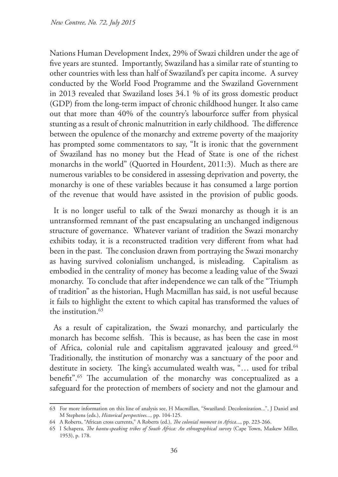Nations Human Development Index, 29% of Swazi children under the age of five years are stunted. Importantly, Swaziland has a similar rate of stunting to other countries with less than half of Swaziland's per capita income. A survey conducted by the World Food Programme and the Swaziland Government in 2013 revealed that Swaziland loses 34.1 % of its gross domestic product (GDP) from the long-term impact of chronic childhood hunger. It also came out that more than 40% of the country's labourforce suffer from physical stunting as a result of chronic malnutrition in early childhood. The difference between the opulence of the monarchy and extreme poverty of the maajority has prompted some commentators to say, "It is ironic that the government of Swaziland has no money but the Head of State is one of the richest monarchs in the world" (Quorted in Hourdent, 2011:3). Much as there are numerous variables to be considered in assessing deprivation and poverty, the monarchy is one of these variables because it has consumed a large portion of the revenue that would have assisted in the provision of public goods.

It is no longer useful to talk of the Swazi monarchy as though it is an untransformed remnant of the past encapsulating an unchanged indigenous structure of governance. Whatever variant of tradition the Swazi monarchy exhibits today, it is a reconstructed tradition very different from what had been in the past. The conclusion drawn from portraying the Swazi monarchy as having survived colonialism unchanged, is misleading. Capitalism as embodied in the centrality of money has become a leading value of the Swazi monarchy. To conclude that after independence we can talk of the "Triumph of tradition" as the historian, Hugh Macmillan has said, is not useful because it fails to highlight the extent to which capital has transformed the values of the institution.63

As a result of capitalization, the Swazi monarchy, and particularly the monarch has become selfish. This is because, as has been the case in most of Africa, colonial rule and capitalism aggravated jealousy and greed.<sup>64</sup> Traditionally, the institution of monarchy was a sanctuary of the poor and destitute in society. The king's accumulated wealth was, "… used for tribal benefit".65 The accumulation of the monarchy was conceptualized as a safeguard for the protection of members of society and not the glamour and

<sup>63</sup> For more information on this line of analysis see, H Macmillan, "Swaziland: Decolonization...", J Daniel and M Stephens (eds.), *Historical perspectives...,* pp. 104-125.

<sup>64</sup> A Roberts, "African cross currents," A Roberts (ed.), *The colonial moment in Africa*..., pp. 223-266.

<sup>65</sup> I Schapera, *The bantu-speaking tribes of South Africa: An ethnographical survey* (Cape Town, Maskew Miller, 1953), p. 178.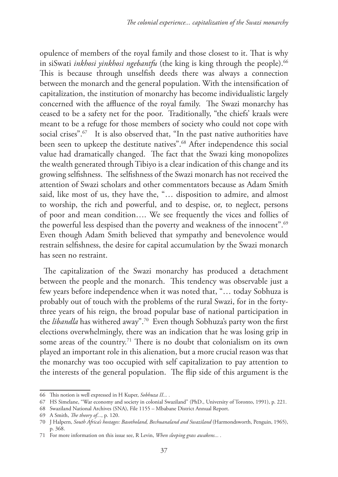opulence of members of the royal family and those closest to it. That is why in siSwati *inkhosi yinkhosi ngebantfu* (the king is king through the people).<sup>66</sup> This is because through unselfish deeds there was always a connection between the monarch and the general population. With the intensification of capitalization, the institution of monarchy has become individualistic largely concerned with the affluence of the royal family. The Swazi monarchy has ceased to be a safety net for the poor. Traditionally, "the chiefs' kraals were meant to be a refuge for those members of society who could not cope with social crises".<sup>67</sup> It is also observed that, "In the past native authorities have been seen to upkeep the destitute natives".<sup>68</sup> After independence this social value had dramatically changed. The fact that the Swazi king monopolizes the wealth generated through Tibiyo is a clear indication of this change and its growing selfishness. The selfishness of the Swazi monarch has not received the attention of Swazi scholars and other commentators because as Adam Smith said, like most of us, they have the, "… disposition to admire, and almost to worship, the rich and powerful, and to despise, or, to neglect, persons of poor and mean condition…. We see frequently the vices and follies of the powerful less despised than the poverty and weakness of the innocent".<sup>69</sup> Even though Adam Smith believed that sympathy and benevolence would restrain selfishness, the desire for capital accumulation by the Swazi monarch has seen no restraint.

The capitalization of the Swazi monarchy has produced a detachment between the people and the monarch. This tendency was observable just a few years before independence when it was noted that, "… today Sobhuza is probably out of touch with the problems of the rural Swazi, for in the fortythree years of his reign, the broad popular base of national participation in the *libandla* has withered away".<sup>70</sup> Even though Sobhuza's party won the first elections overwhelmingly, there was an indication that he was losing grip in some areas of the country.<sup>71</sup> There is no doubt that colonialism on its own played an important role in this alienation, but a more crucial reason was that the monarchy was too occupied with self capitalization to pay attention to the interests of the general population. The flip side of this argument is the

<sup>66</sup> This notion is well expressed in H Kuper, *Sobhuza II... .*

<sup>67</sup> HS Simelane, "War economy and society in colonial Swaziland" (PhD., University of Toronto, 1991), p. 221.

<sup>68</sup> Swaziland National Archives (SNA), File 1155 – Mbabane District Annual Report.

<sup>69</sup> A Smith, *The theory of...*, p. 120.

<sup>70</sup> J Halpern, *South Africa's hostages: Basotholand, Bechuanaland and Swaziland* (Harmondsworth, Penguin, 1965), p. 368.

<sup>71</sup> For more information on this issue see, R Levin, *When sleeping grass awakens... .*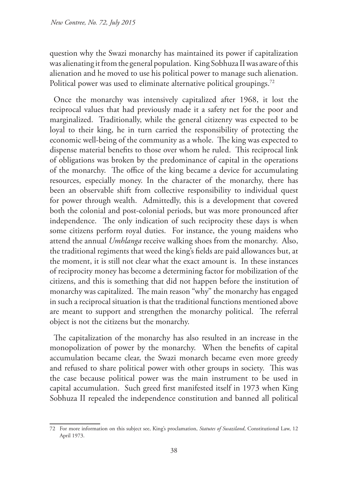question why the Swazi monarchy has maintained its power if capitalization was alienating it from the general population. King Sobhuza II was aware of this alienation and he moved to use his political power to manage such alienation. Political power was used to eliminate alternative political groupings.<sup>72</sup>

Once the monarchy was intensively capitalized after 1968, it lost the reciprocal values that had previously made it a safety net for the poor and marginalized. Traditionally, while the general citizenry was expected to be loyal to their king, he in turn carried the responsibility of protecting the economic well-being of the community as a whole. The king was expected to dispense material benefits to those over whom he ruled. This reciprocal link of obligations was broken by the predominance of capital in the operations of the monarchy. The office of the king became a device for accumulating resources, especially money. In the character of the monarchy, there has been an observable shift from collective responsibility to individual quest for power through wealth. Admittedly, this is a development that covered both the colonial and post-colonial periods, but was more pronounced after independence. The only indication of such reciprocity these days is when some citizens perform royal duties. For instance, the young maidens who attend the annual *Umhlanga* receive walking shoes from the monarchy. Also, the traditional regiments that weed the king's fields are paid allowances but, at the moment, it is still not clear what the exact amount is. In these instances of reciprocity money has become a determining factor for mobilization of the citizens, and this is something that did not happen before the institution of monarchy was capitalized. The main reason "why" the monarchy has engaged in such a reciprocal situation is that the traditional functions mentioned above are meant to support and strengthen the monarchy political. The referral object is not the citizens but the monarchy.

The capitalization of the monarchy has also resulted in an increase in the monopolization of power by the monarchy. When the benefits of capital accumulation became clear, the Swazi monarch became even more greedy and refused to share political power with other groups in society. This was the case because political power was the main instrument to be used in capital accumulation. Such greed first manifested itself in 1973 when King Sobhuza II repealed the independence constitution and banned all political

<sup>72</sup> For more information on this subject see, King's proclamation, *Statutes of Swaziland*, Constitutional Law, 12 April 1973.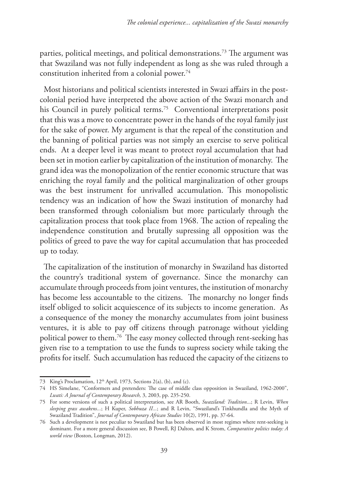parties, political meetings, and political demonstrations.73 The argument was that Swaziland was not fully independent as long as she was ruled through a constitution inherited from a colonial power.<sup>74</sup>

Most historians and political scientists interested in Swazi affairs in the postcolonial period have interpreted the above action of the Swazi monarch and his Council in purely political terms.<sup>75</sup> Conventional interpretations posit that this was a move to concentrate power in the hands of the royal family just for the sake of power. My argument is that the repeal of the constitution and the banning of political parties was not simply an exercise to serve political ends. At a deeper level it was meant to protect royal accumulation that had been set in motion earlier by capitalization of the institution of monarchy. The grand idea was the monopolization of the rentier economic structure that was enriching the royal family and the political marginalization of other groups was the best instrument for unrivalled accumulation. This monopolistic tendency was an indication of how the Swazi institution of monarchy had been transformed through colonialism but more particularly through the capitalization process that took place from 1968. The action of repealing the independence constitution and brutally supressing all opposition was the politics of greed to pave the way for capital accumulation that has proceeded up to today.

The capitalization of the institution of monarchy in Swaziland has distorted the country's traditional system of governance. Since the monarchy can accumulate through proceeds from joint ventures, the institution of monarchy has become less accountable to the citizens. The monarchy no longer finds itself obliged to solicit acquiescence of its subjects to income generation. As a consequence of the money the monarchy accumulates from joint business ventures, it is able to pay off citizens through patronage without yielding political power to them.76 The easy money collected through rent-seeking has given rise to a temptation to use the funds to supress society while taking the profits for itself. Such accumulation has reduced the capacity of the citizens to

<sup>73</sup> King's Proclamation, 12<sup>th</sup> April, 1973, Sections 2(a), (b), and (c).

<sup>74</sup> HS Simelane, "Conformers and pretenders: The case of middle class opposition in Swaziland, 1962-2000", *Lwati: A Journal of Contemporary Research,* 3, 2003, pp. 235-250.

<sup>75</sup> For some versions of such a political interpretation, see AR Booth, *Swaziland: Tradition*...; R Levin, *When sleeping grass awakens...*; H Kuper, *Sobhuza II...*; and R Levin, "Swaziland's Tinkhundla and the Myth of Swaziland Tradition", *Journal of Contemporary African Studies* 10(2), 1991, pp. 37-64.

<sup>76</sup> Such a development is not peculiar to Swaziland but has been observed in most regimes where rent-seeking is dominant. For a more general discussion see, B Powell, RJ Dalton, and K Strom, *Comparative politics today: A world view* (Boston, Longman, 2012).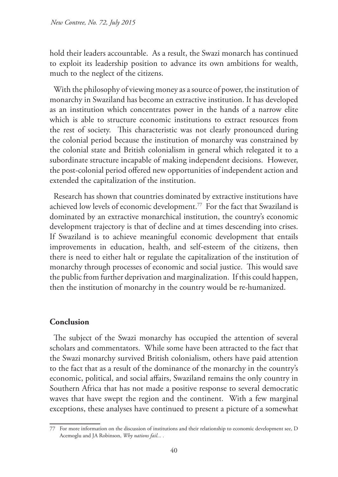hold their leaders accountable. As a result, the Swazi monarch has continued to exploit its leadership position to advance its own ambitions for wealth, much to the neglect of the citizens.

With the philosophy of viewing money as a source of power, the institution of monarchy in Swaziland has become an extractive institution. It has developed as an institution which concentrates power in the hands of a narrow elite which is able to structure economic institutions to extract resources from the rest of society. This characteristic was not clearly pronounced during the colonial period because the institution of monarchy was constrained by the colonial state and British colonialism in general which relegated it to a subordinate structure incapable of making independent decisions. However, the post-colonial period offered new opportunities of independent action and extended the capitalization of the institution.

Research has shown that countries dominated by extractive institutions have achieved low levels of economic development.77 For the fact that Swaziland is dominated by an extractive monarchical institution, the country's economic development trajectory is that of decline and at times descending into crises. If Swaziland is to achieve meaningful economic development that entails improvements in education, health, and self-esteem of the citizens, then there is need to either halt or regulate the capitalization of the institution of monarchy through processes of economic and social justice. This would save the public from further deprivation and marginalization. If this could happen, then the institution of monarchy in the country would be re-humanized.

# **Conclusion**

The subject of the Swazi monarchy has occupied the attention of several scholars and commentators. While some have been attracted to the fact that the Swazi monarchy survived British colonialism, others have paid attention to the fact that as a result of the dominance of the monarchy in the country's economic, political, and social affairs, Swaziland remains the only country in Southern Africa that has not made a positive response to several democratic waves that have swept the region and the continent. With a few marginal exceptions, these analyses have continued to present a picture of a somewhat

<sup>77</sup> For more information on the discussion of institutions and their relationship to economic development see, D Acemoglu and JA Robinson, *Why nations fail... .*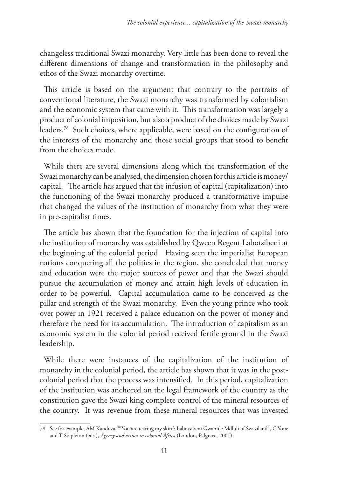changeless traditional Swazi monarchy. Very little has been done to reveal the different dimensions of change and transformation in the philosophy and ethos of the Swazi monarchy overtime.

This article is based on the argument that contrary to the portraits of conventional literature, the Swazi monarchy was transformed by colonialism and the economic system that came with it. This transformation was largely a product of colonial imposition, but also a product of the choices made by Swazi leaders.78 Such choices, where applicable, were based on the configuration of the interests of the monarchy and those social groups that stood to benefit from the choices made.

While there are several dimensions along which the transformation of the Swazi monarchy can be analysed, the dimension chosen for this article is money/ capital. The article has argued that the infusion of capital (capitalization) into the functioning of the Swazi monarchy produced a transformative impulse that changed the values of the institution of monarchy from what they were in pre-capitalist times.

The article has shown that the foundation for the injection of capital into the institution of monarchy was established by Qween Regent Labotsibeni at the beginning of the colonial period. Having seen the imperialist European nations conquering all the polities in the region, she concluded that money and education were the major sources of power and that the Swazi should pursue the accumulation of money and attain high levels of education in order to be powerful. Capital accumulation came to be conceived as the pillar and strength of the Swazi monarchy. Even the young prince who took over power in 1921 received a palace education on the power of money and therefore the need for its accumulation. The introduction of capitalism as an economic system in the colonial period received fertile ground in the Swazi leadership.

While there were instances of the capitalization of the institution of monarchy in the colonial period, the article has shown that it was in the postcolonial period that the process was intensified. In this period, capitalization of the institution was anchored on the legal framework of the country as the constitution gave the Swazi king complete control of the mineral resources of the country. It was revenue from these mineral resources that was invested

<sup>78</sup> See for example, AM Kanduza, "'You are tearing my skirt': Labotsibeni Gwamile Mdluli of Swaziland", C Youe and T Stapleton (eds.), *Agency and action in colonial Africa* (London, Palgrave, 2001).